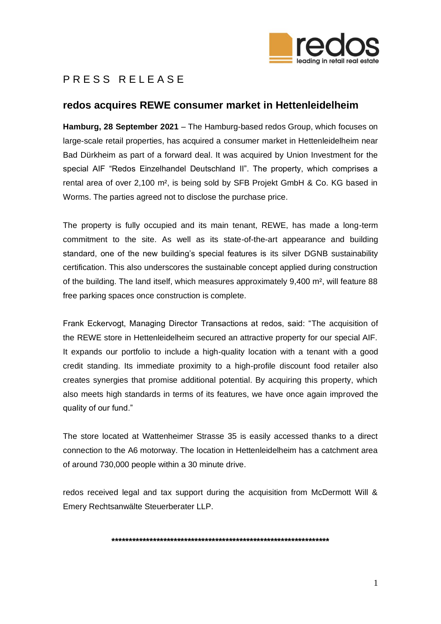

## PRESS REIFASE

## redos acquires REWE consumer market in Hettenleidelheim

Hamburg. 28 September 2021 - The Hamburg-based redos Group, which focuses on large-scale retail properties, has acquired a consumer market in Hettenleidelheim near Bad Dürkheim as part of a forward deal. It was acquired by Union Investment for the special AIF "Redos Einzelhandel Deutschland II". The property, which comprises a rental area of over 2,100 m<sup>2</sup>, is being sold by SFB Projekt GmbH & Co. KG based in Worms. The parties agreed not to disclose the purchase price.

The property is fully occupied and its main tenant, REWE, has made a long-term commitment to the site. As well as its state-of-the-art appearance and building standard, one of the new building's special features is its silver DGNB sustainability certification. This also underscores the sustainable concept applied during construction of the building. The land itself, which measures approximately 9,400 m<sup>2</sup>, will feature 88 free parking spaces once construction is complete.

Frank Eckervogt, Managing Director Transactions at redos, said: "The acquisition of the REWE store in Hettenleidelheim secured an attractive property for our special AIF. It expands our portfolio to include a high-quality location with a tenant with a good credit standing. Its immediate proximity to a high-profile discount food retailer also creates synergies that promise additional potential. By acquiring this property, which also meets high standards in terms of its features, we have once again improved the quality of our fund."

The store located at Wattenheimer Strasse 35 is easily accessed thanks to a direct connection to the A6 motorway. The location in Hettenleidelheim has a catchment area of around 730,000 people within a 30 minute drive.

redos received legal and tax support during the acquisition from McDermott Will & Emery Rechtsanwälte Steuerberater LLP.